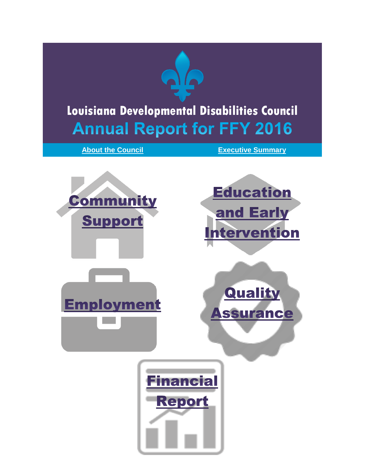<span id="page-0-0"></span>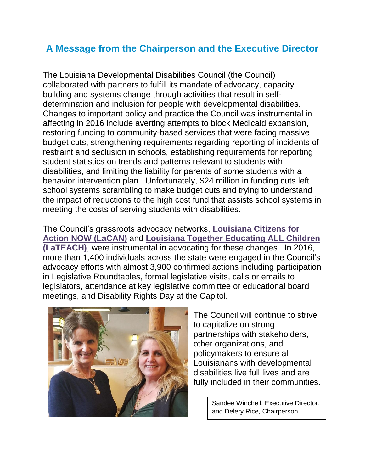### <span id="page-1-0"></span>**A Message from the Chairperson and the Executive Director**

The Louisiana Developmental Disabilities Council (the Council) collaborated with partners to fulfill its mandate of advocacy, capacity building and systems change through activities that result in selfdetermination and inclusion for people with developmental disabilities. Changes to important policy and practice the Council was instrumental in affecting in 2016 include averting attempts to block Medicaid expansion, restoring funding to community-based services that were facing massive budget cuts, strengthening requirements regarding reporting of incidents of restraint and seclusion in schools, establishing requirements for reporting student statistics on trends and patterns relevant to students with disabilities, and limiting the liability for parents of some students with a behavior intervention plan. Unfortunately, \$24 million in funding cuts left school systems scrambling to make budget cuts and trying to understand the impact of reductions to the high cost fund that assists school systems in meeting the costs of serving students with disabilities.

The Council's grassroots advocacy networks, **[Louisiana Citizens for](http://laddc.org/initiatives.cfm?id=11&aid=6)  [Action NOW \(LaCAN\)](http://laddc.org/initiatives.cfm?id=11&aid=6)** and **[Louisiana Together Educating ALL Children](http://www.laddc.org/initiatives.cfm?id=27&aid=2)  [\(LaTEACH\)](http://www.laddc.org/initiatives.cfm?id=27&aid=2)**, were instrumental in advocating for these changes. In 2016, more than 1,400 individuals across the state were engaged in the Council's advocacy efforts with almost 3,900 confirmed actions including participation in Legislative Roundtables, formal legislative visits, calls or emails to legislators, attendance at key legislative committee or educational board meetings, and Disability Rights Day at the Capitol.



The Council will continue to strive to capitalize on strong partnerships with stakeholders, other organizations, and policymakers to ensure all Louisianans with developmental disabilities live full lives and are fully included in their communities.

> Sandee Winchell, Executive Director, and Delery Rice, Chairperson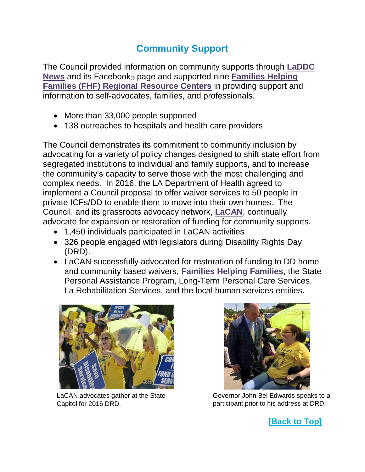# **Community Support**

The Council provided information on community supports through **[LaDDC](http://laddc.org/content.cfm?id=512)  [News](http://laddc.org/content.cfm?id=512)** and its Facebook® page and supported nine **[Families Helping](http://laddc.org/initiatives.cfm?id=9&aid=6)  [Families \(FHF\) Regional Resource Centers](http://laddc.org/initiatives.cfm?id=9&aid=6)** in providing support and information to self-advocates, families, and professionals.

- More than 33,000 people supported
- 138 outreaches to hospitals and health care providers

The Council demonstrates its commitment to community inclusion by advocating for a variety of policy changes designed to shift state effort from segregated institutions to individual and family supports, and to increase the community's capacity to serve those with the most challenging and complex needs. In 2016, the LA Department of Health agreed to implement a Council proposal to offer waiver services to 50 people in private ICFs/DD to enable them to move into their own homes. The Council, and its grassroots advocacy network, **[LaCAN](http://laddc.org/initiatives.cfm?id=11&aid=6)**, continually advocate for expansion or restoration of funding for community supports.

- 1,450 individuals participated in LaCAN activities
- 326 people engaged with legislators during Disability Rights Day (DRD).
- LaCAN successfully advocated for restoration of funding to DD home and community based waivers, **Families Helping Families**, the State Personal Assistance Program, Long-Term Personal Care Services, La Rehabilitation Services, and the local human services entities.



LaCAN advocates gather at the State Capitol for 2016 DRD.



Governor John Bel Edwards speaks to a participant prior to his address at DRD.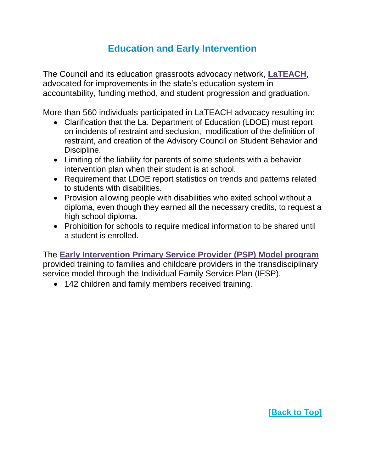### **Education and Early Intervention**

The Council and its education grassroots advocacy network, **[LaTEACH](http://www.laddc.org/initiatives.cfm?id=27&aid=2)**, advocated for improvements in the state's education system in accountability, funding method, and student progression and graduation.

More than 560 individuals participated in LaTEACH advocacy resulting in:

- Clarification that the La. Department of Education (LDOE) must report on incidents of restraint and seclusion, modification of the definition of restraint, and creation of the Advisory Council on Student Behavior and Discipline.
- Limiting of the liability for parents of some students with a behavior intervention plan when their student is at school.
- Requirement that LDOE report statistics on trends and patterns related to students with disabilities.
- Provision allowing people with disabilities who exited school without a diploma, even though they earned all the necessary credits, to request a high school diploma.
- Prohibition for schools to require medical information to be shared until a student is enrolled.

The **[Early Intervention Primary Service Provider \(PSP\) Model program](http://www.laddc.org/initiatives.cfm?id=52&aid=2)** provided training to families and childcare providers in the transdisciplinary service model through the Individual Family Service Plan (IFSP).

• 142 children and family members received training.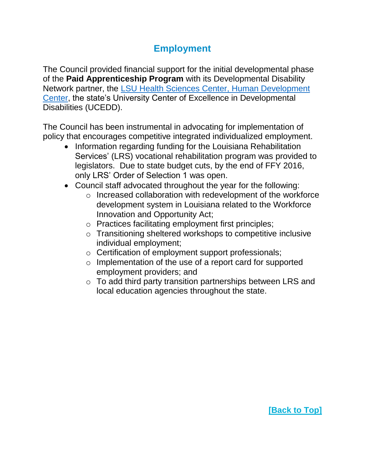# **Employment**

The Council provided financial support for the initial developmental phase of the **Paid Apprenticeship Program** with its Developmental Disability Network partner, the LSU Health Sciences Center, [Human Development](http://www.hdc.lsuhsc.edu/)  [Center,](http://www.hdc.lsuhsc.edu/) the state's University Center of Excellence in Developmental Disabilities (UCEDD).

The Council has been instrumental in advocating for implementation of policy that encourages competitive integrated individualized employment.

- Information regarding funding for the Louisiana Rehabilitation Services' (LRS) vocational rehabilitation program was provided to legislators. Due to state budget cuts, by the end of FFY 2016, only LRS' Order of Selection 1 was open.
- Council staff advocated throughout the year for the following:
	- o Increased collaboration with redevelopment of the workforce development system in Louisiana related to the Workforce Innovation and Opportunity Act;
	- o Practices facilitating employment first principles;
	- o Transitioning sheltered workshops to competitive inclusive individual employment;
	- o Certification of employment support professionals;
	- o Implementation of the use of a report card for supported employment providers; and
	- $\circ$  To add third party transition partnerships between LRS and local education agencies throughout the state.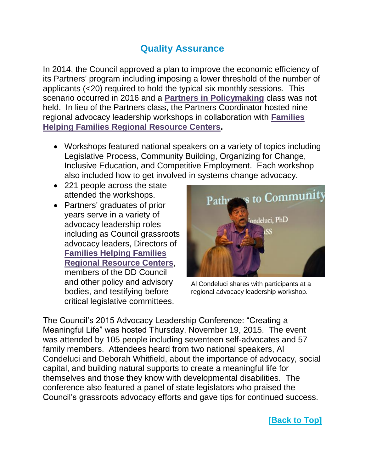#### **Quality Assurance**

In 2014, the Council approved a plan to improve the economic efficiency of its Partners' program including imposing a lower threshold of the number of applicants (<20) required to hold the typical six monthly sessions. This scenario occurred in 2016 and a **[Partners in Policymaking](http://www.laddc.org/initiatives.cfm?id=8&aid=8)** class was not held. In lieu of the Partners class, the Partners Coordinator hosted nine regional advocacy leadership workshops in collaboration with **[Families](http://www.laddc.org/initiatives.cfm?id=9&aid=6)  [Helping Families Regional Resource Centers.](http://www.laddc.org/initiatives.cfm?id=9&aid=6)**

- Workshops featured national speakers on a variety of topics including Legislative Process, Community Building, Organizing for Change, Inclusive Education, and Competitive Employment. Each workshop also included how to get involved in systems change advocacy.
- 221 people across the state attended the workshops.
- Partners' graduates of prior years serve in a variety of advocacy leadership roles including as Council grassroots advocacy leaders, Directors of **[Families Helping Families](http://www.laddc.org/initiatives.cfm?id=9&aid=6)  [Regional Resource Centers](http://www.laddc.org/initiatives.cfm?id=9&aid=6)**, members of the DD Council and other policy and advisory bodies, and testifying before critical legislative committees.



Al Condeluci shares with participants at a regional advocacy leadership workshop.

The Council's 2015 Advocacy Leadership Conference: "Creating a Meaningful Life" was hosted Thursday, November 19, 2015. The event was attended by 105 people including seventeen self-advocates and 57 family members. Attendees heard from two national speakers, Al Condeluci and Deborah Whitfield, about the importance of advocacy, social capital, and building natural supports to create a meaningful life for themselves and those they know with developmental disabilities. The conference also featured a panel of state legislators who praised the Council's grassroots advocacy efforts and gave tips for continued success.